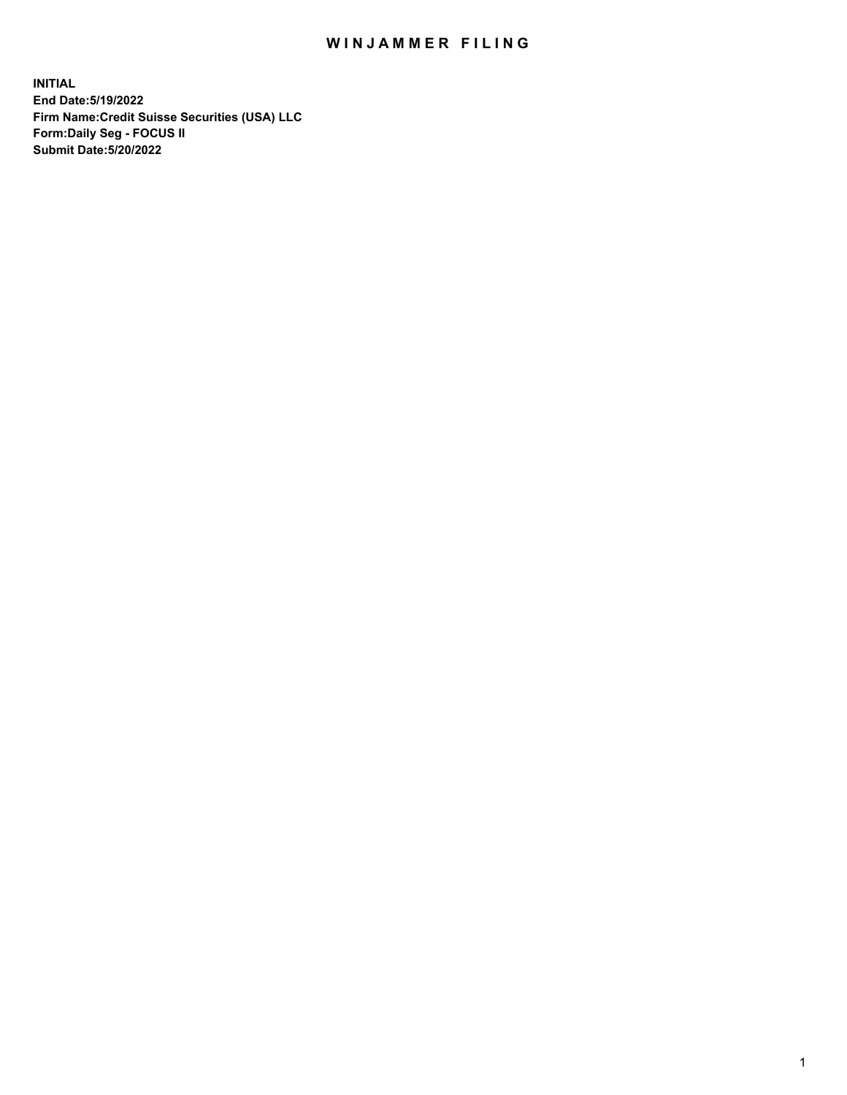## WIN JAMMER FILING

**INITIAL End Date:5/19/2022 Firm Name:Credit Suisse Securities (USA) LLC Form:Daily Seg - FOCUS II Submit Date:5/20/2022**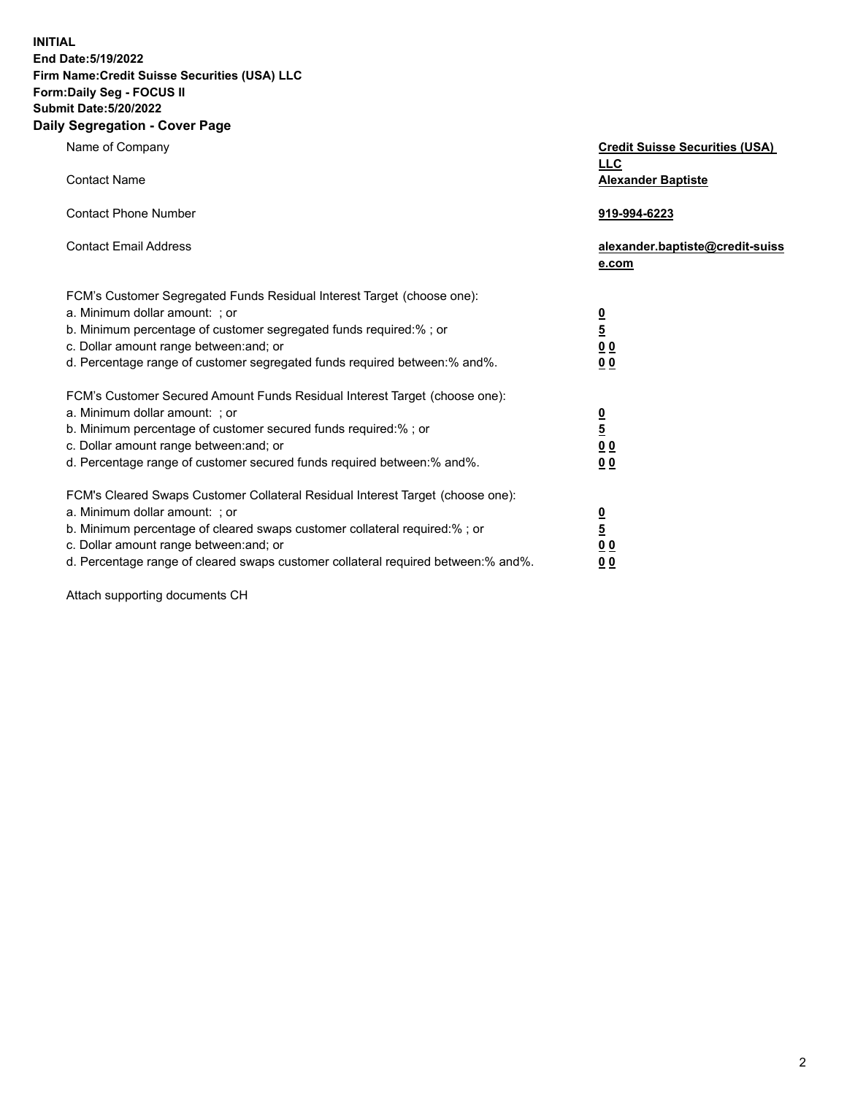**INITIAL**

## **End Date:5/19/2022 Firm Name:Credit Suisse Securities (USA) LLC Form:Daily Seg - FOCUS II Submit Date:5/20/2022**

## **Daily Segregation - Cover Page**

| Name of Company<br><b>Contact Name</b>                                                                                                                                                                                                                                                                                         | <b>Credit Suisse Securities (USA)</b><br><u>LLC</u><br><b>Alexander Baptiste</b> |
|--------------------------------------------------------------------------------------------------------------------------------------------------------------------------------------------------------------------------------------------------------------------------------------------------------------------------------|----------------------------------------------------------------------------------|
| <b>Contact Phone Number</b>                                                                                                                                                                                                                                                                                                    | 919-994-6223                                                                     |
| <b>Contact Email Address</b>                                                                                                                                                                                                                                                                                                   | alexander.baptiste@credit-suiss<br>e.com                                         |
| FCM's Customer Segregated Funds Residual Interest Target (choose one):<br>a. Minimum dollar amount: ; or<br>b. Minimum percentage of customer segregated funds required:% ; or<br>c. Dollar amount range between: and; or<br>d. Percentage range of customer segregated funds required between:% and%.                         | $\frac{\frac{0}{5}}{\frac{0}{0}}$<br>0 <sub>0</sub>                              |
| FCM's Customer Secured Amount Funds Residual Interest Target (choose one):<br>a. Minimum dollar amount: ; or<br>b. Minimum percentage of customer secured funds required:%; or<br>c. Dollar amount range between: and; or<br>d. Percentage range of customer secured funds required between:% and%.                            | $\frac{0}{5}$<br>$\underline{0}$<br>$\underline{0}$<br>0 <sub>0</sub>            |
| FCM's Cleared Swaps Customer Collateral Residual Interest Target (choose one):<br>a. Minimum dollar amount: ; or<br>b. Minimum percentage of cleared swaps customer collateral required:% ; or<br>c. Dollar amount range between: and; or<br>d. Percentage range of cleared swaps customer collateral required between:% and%. | $\frac{0}{5}$<br>0 <sub>0</sub><br>0 <sub>0</sub>                                |

Attach supporting documents CH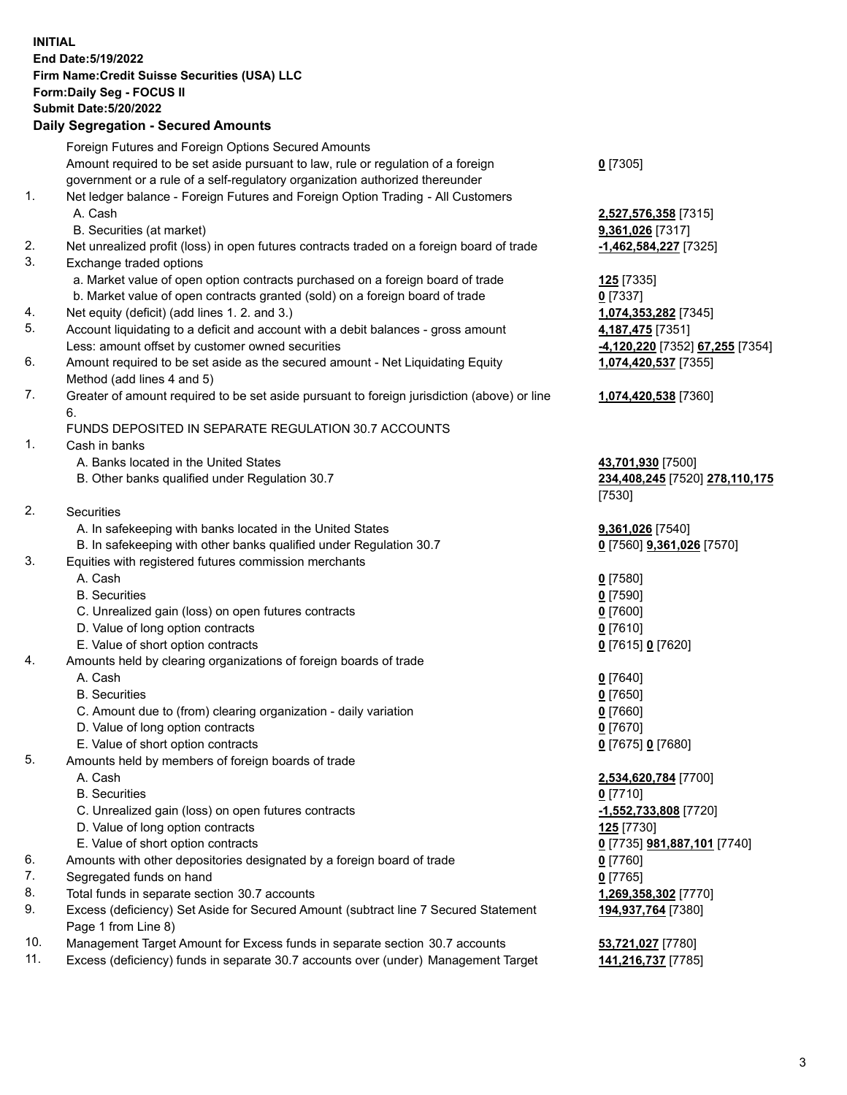**INITIAL End Date:5/19/2022 Firm Name:Credit Suisse Securities (USA) LLC Form:Daily Seg - FOCUS II Submit Date:5/20/2022**

## **Daily Segregation - Secured Amounts**

|     | Foreign Futures and Foreign Options Secured Amounts                                         |                                 |
|-----|---------------------------------------------------------------------------------------------|---------------------------------|
|     | Amount required to be set aside pursuant to law, rule or regulation of a foreign            | $0$ [7305]                      |
|     | government or a rule of a self-regulatory organization authorized thereunder                |                                 |
| 1.  | Net ledger balance - Foreign Futures and Foreign Option Trading - All Customers             |                                 |
|     | A. Cash                                                                                     | 2,527,576,358 [7315]            |
|     | B. Securities (at market)                                                                   | 9,361,026 [7317]                |
| 2.  | Net unrealized profit (loss) in open futures contracts traded on a foreign board of trade   | -1,462,584,227 [7325]           |
| 3.  | Exchange traded options                                                                     |                                 |
|     | a. Market value of open option contracts purchased on a foreign board of trade              | 125 [7335]                      |
|     | b. Market value of open contracts granted (sold) on a foreign board of trade                | $0$ [7337]                      |
| 4.  | Net equity (deficit) (add lines 1. 2. and 3.)                                               | 1,074,353,282 [7345]            |
| 5.  | Account liquidating to a deficit and account with a debit balances - gross amount           | 4,187,475 [7351]                |
|     | Less: amount offset by customer owned securities                                            | -4,120,220 [7352] 67,255 [7354] |
| 6.  | Amount required to be set aside as the secured amount - Net Liquidating Equity              | 1,074,420,537 [7355]            |
|     | Method (add lines 4 and 5)                                                                  |                                 |
| 7.  | Greater of amount required to be set aside pursuant to foreign jurisdiction (above) or line | 1,074,420,538 [7360]            |
|     | 6.                                                                                          |                                 |
|     | FUNDS DEPOSITED IN SEPARATE REGULATION 30.7 ACCOUNTS                                        |                                 |
| 1.  | Cash in banks                                                                               |                                 |
|     | A. Banks located in the United States                                                       | 43,701,930 [7500]               |
|     | B. Other banks qualified under Regulation 30.7                                              | 234,408,245 [7520] 278,110,175  |
|     |                                                                                             | [7530]                          |
| 2.  | Securities                                                                                  |                                 |
|     | A. In safekeeping with banks located in the United States                                   | 9,361,026 [7540]                |
|     | B. In safekeeping with other banks qualified under Regulation 30.7                          | 0 [7560] 9,361,026 [7570]       |
| 3.  | Equities with registered futures commission merchants                                       |                                 |
|     | A. Cash                                                                                     | $0$ [7580]                      |
|     | <b>B.</b> Securities                                                                        | $0$ [7590]                      |
|     | C. Unrealized gain (loss) on open futures contracts                                         | $0$ [7600]                      |
|     | D. Value of long option contracts                                                           | $0$ [7610]                      |
|     | E. Value of short option contracts                                                          | 0 [7615] 0 [7620]               |
| 4.  | Amounts held by clearing organizations of foreign boards of trade                           |                                 |
|     | A. Cash                                                                                     | $0$ [7640]                      |
|     | <b>B.</b> Securities                                                                        | $0$ [7650]                      |
|     | C. Amount due to (from) clearing organization - daily variation                             | $0$ [7660]                      |
|     | D. Value of long option contracts                                                           | $0$ [7670]                      |
|     | E. Value of short option contracts                                                          | 0 [7675] 0 [7680]               |
| 5.  | Amounts held by members of foreign boards of trade                                          |                                 |
|     | A. Cash                                                                                     | 2,534,620,784 [7700]            |
|     | <b>B.</b> Securities                                                                        | $0$ [7710]                      |
|     | C. Unrealized gain (loss) on open futures contracts                                         | <u>-1,552,733,808</u> [7720]    |
|     | D. Value of long option contracts                                                           | <b>125</b> [7730]               |
|     | E. Value of short option contracts                                                          | 0 [7735] 981,887,101 [7740]     |
| 6.  | Amounts with other depositories designated by a foreign board of trade                      | $0$ [7760]                      |
| 7.  | Segregated funds on hand                                                                    | $0$ [7765]                      |
| 8.  | Total funds in separate section 30.7 accounts                                               | 1,269,358,302 [7770]            |
| 9.  | Excess (deficiency) Set Aside for Secured Amount (subtract line 7 Secured Statement         | 194,937,764 [7380]              |
|     | Page 1 from Line 8)                                                                         |                                 |
| 10. | Management Target Amount for Excess funds in separate section 30.7 accounts                 | 53,721,027 [7780]               |

11. Excess (deficiency) funds in separate 30.7 accounts over (under) Management Target **141,216,737** [7785]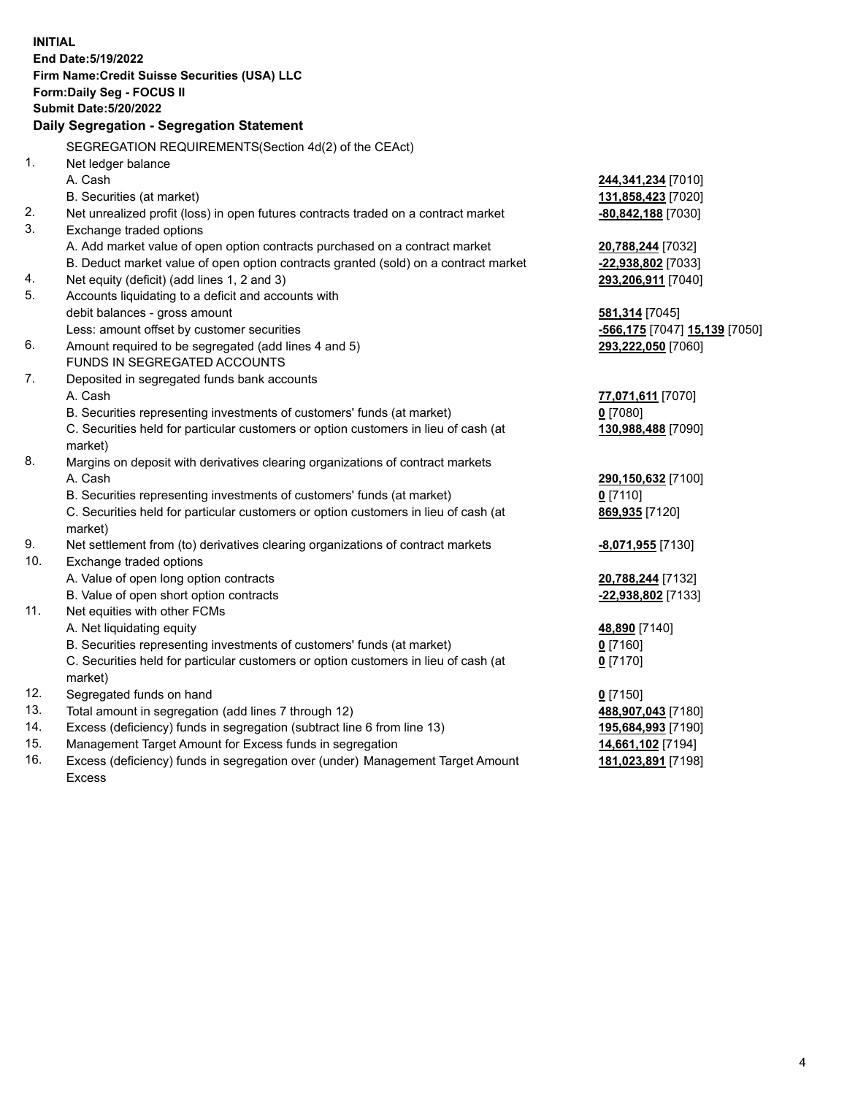|            | <b>INITIAL</b><br>End Date: 5/19/2022                                                           |                                            |
|------------|-------------------------------------------------------------------------------------------------|--------------------------------------------|
|            | Firm Name: Credit Suisse Securities (USA) LLC                                                   |                                            |
|            | Form: Daily Seg - FOCUS II                                                                      |                                            |
|            | <b>Submit Date: 5/20/2022</b>                                                                   |                                            |
|            | Daily Segregation - Segregation Statement                                                       |                                            |
|            | SEGREGATION REQUIREMENTS(Section 4d(2) of the CEAct)                                            |                                            |
| 1.         | Net ledger balance                                                                              |                                            |
|            | A. Cash                                                                                         | 244,341,234 [7010]                         |
|            | B. Securities (at market)                                                                       | 131,858,423 [7020]                         |
| 2.         | Net unrealized profit (loss) in open futures contracts traded on a contract market              | -80,842,188 [7030]                         |
| 3.         | Exchange traded options                                                                         |                                            |
|            | A. Add market value of open option contracts purchased on a contract market                     | 20,788,244 [7032]                          |
|            | B. Deduct market value of open option contracts granted (sold) on a contract market             | -22,938,802 [7033]                         |
| 4.         | Net equity (deficit) (add lines 1, 2 and 3)                                                     | 293,206,911 [7040]                         |
| 5.         | Accounts liquidating to a deficit and accounts with                                             |                                            |
|            | debit balances - gross amount                                                                   | 581,314 [7045]                             |
|            | Less: amount offset by customer securities                                                      | <mark>-566,175</mark> [7047] 15,139 [7050] |
| 6.         | Amount required to be segregated (add lines 4 and 5)                                            | 293,222,050 [7060]                         |
|            | FUNDS IN SEGREGATED ACCOUNTS                                                                    |                                            |
| 7.         | Deposited in segregated funds bank accounts                                                     |                                            |
|            | A. Cash                                                                                         | 77,071,611 [7070]                          |
|            | B. Securities representing investments of customers' funds (at market)                          | $0$ [7080]                                 |
|            | C. Securities held for particular customers or option customers in lieu of cash (at             | 130,988,488 [7090]                         |
|            | market)                                                                                         |                                            |
| 8.         | Margins on deposit with derivatives clearing organizations of contract markets                  |                                            |
|            | A. Cash                                                                                         | 290,150,632 [7100]                         |
|            | B. Securities representing investments of customers' funds (at market)                          | $0$ [7110]                                 |
|            | C. Securities held for particular customers or option customers in lieu of cash (at             | 869,935 [7120]                             |
|            | market)                                                                                         |                                            |
| 9.         | Net settlement from (to) derivatives clearing organizations of contract markets                 | -8,071,955 [7130]                          |
| 10.        | Exchange traded options                                                                         |                                            |
|            | A. Value of open long option contracts                                                          | 20,788,244 [7132]                          |
|            | B. Value of open short option contracts                                                         | -22,938,802 [7133]                         |
| 11.        | Net equities with other FCMs                                                                    |                                            |
|            | A. Net liquidating equity                                                                       | 48,890 [7140]                              |
|            | B. Securities representing investments of customers' funds (at market)                          | $0$ [7160]                                 |
|            | C. Securities held for particular customers or option customers in lieu of cash (at             | $0$ [7170]                                 |
|            | market)                                                                                         |                                            |
| 12.<br>13. | Segregated funds on hand                                                                        | $0$ [7150]                                 |
|            | Total amount in segregation (add lines 7 through 12)                                            | 488,907,043 [7180]                         |
| 14.<br>15. | Excess (deficiency) funds in segregation (subtract line 6 from line 13)                         | 195,684,993 [7190]                         |
| 16.        | Management Target Amount for Excess funds in segregation                                        | 14,661,102 [7194]                          |
|            | Excess (deficiency) funds in segregation over (under) Management Target Amount<br><b>Excess</b> | 181,023,891 [7198]                         |
|            |                                                                                                 |                                            |